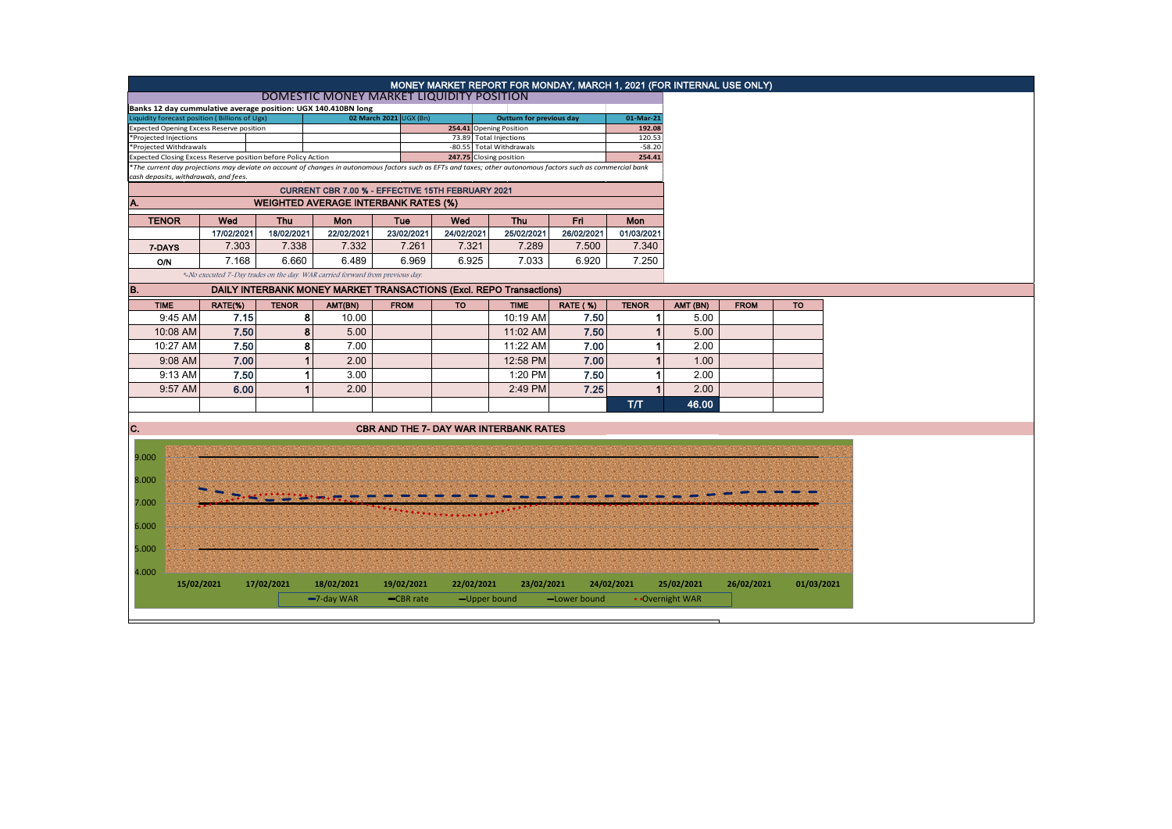|                                                                                                                                                                                                                                |            | MONEY MARKET REPORT FOR MONDAY, MARCH 1, 2021 (FOR INTERNAL USE ONLY) |                                                                               |                        |                         |                                                                     |                                 |                    |                 |             |            |
|--------------------------------------------------------------------------------------------------------------------------------------------------------------------------------------------------------------------------------|------------|-----------------------------------------------------------------------|-------------------------------------------------------------------------------|------------------------|-------------------------|---------------------------------------------------------------------|---------------------------------|--------------------|-----------------|-------------|------------|
|                                                                                                                                                                                                                                |            |                                                                       | DOMESTIC MONEY MARKET LIQUIDITY POSITION                                      |                        |                         |                                                                     |                                 |                    |                 |             |            |
| Banks 12 day cummulative average position: UGX 140.410BN long<br>Liquidity forecast position (Billions of Ugx)                                                                                                                 |            |                                                                       |                                                                               | 02 March 2021 UGX (Bn) |                         |                                                                     | <b>Outturn for previous day</b> |                    |                 |             |            |
| Expected Opening Excess Reserve position                                                                                                                                                                                       |            |                                                                       |                                                                               |                        |                         | 254.41 Opening Position                                             |                                 | 192.08<br>120.53   |                 |             |            |
| *Projected Injections                                                                                                                                                                                                          |            |                                                                       |                                                                               |                        |                         | 73.89 Total Injections                                              |                                 |                    |                 |             |            |
| *Projected Withdrawals                                                                                                                                                                                                         |            |                                                                       |                                                                               |                        |                         | -80.55 Total Withdrawals                                            |                                 | $-58.20$<br>254.41 |                 |             |            |
| Expected Closing Excess Reserve position before Policy Action<br>*The current day projections may deviate on account of changes in autonomous factors such as EFTs and taxes; other autonomous factors such as commercial bank |            |                                                                       |                                                                               |                        | 247.75 Closing position |                                                                     |                                 |                    |                 |             |            |
| cash deposits, withdrawals, and fees.                                                                                                                                                                                          |            |                                                                       |                                                                               |                        |                         |                                                                     |                                 |                    |                 |             |            |
|                                                                                                                                                                                                                                |            |                                                                       |                                                                               |                        |                         |                                                                     |                                 |                    |                 |             |            |
| A.                                                                                                                                                                                                                             |            |                                                                       |                                                                               |                        |                         |                                                                     |                                 |                    |                 |             |            |
| <b>TENOR</b>                                                                                                                                                                                                                   | Wed        | <b>Thu</b>                                                            | Mon                                                                           | Tue                    | Wed<br><b>Thu</b>       |                                                                     | Fri<br>Mon                      |                    |                 |             |            |
|                                                                                                                                                                                                                                | 17/02/2021 | 18/02/2021                                                            | 22/02/2021                                                                    | 23/02/2021             | 24/02/2021              | 25/02/2021                                                          | 26/02/2021                      | 01/03/2021         |                 |             |            |
| 7-DAYS                                                                                                                                                                                                                         | 7.303      | 7.338                                                                 | 7.332                                                                         | 7.261                  | 7.321                   | 7.289                                                               | 7.500                           | 7.340              |                 |             |            |
| <b>O/N</b>                                                                                                                                                                                                                     | 7.168      | 6.660                                                                 | 6.489                                                                         | 6.969                  | 6.925                   | 7.033                                                               | 6.920                           | 7.250              |                 |             |            |
|                                                                                                                                                                                                                                |            |                                                                       | *-No executed 7-Day trades on the day. WAR carried forward from previous day. |                        |                         |                                                                     |                                 |                    |                 |             |            |
| B.                                                                                                                                                                                                                             |            |                                                                       |                                                                               |                        |                         |                                                                     |                                 |                    |                 |             |            |
|                                                                                                                                                                                                                                |            |                                                                       |                                                                               |                        |                         | DAILY INTERBANK MONEY MARKET TRANSACTIONS (Excl. REPO Transactions) |                                 |                    |                 |             |            |
| <b>TIME</b>                                                                                                                                                                                                                    | RATE(%)    | <b>TENOR</b>                                                          | AMT(BN)                                                                       | <b>FROM</b>            | <b>TO</b>               | <b>TIME</b>                                                         | <b>RATE (%)</b>                 | <b>TENOR</b>       | AMT (BN)        | <b>FROM</b> | <b>TO</b>  |
| 9:45 AM                                                                                                                                                                                                                        | 7.15       |                                                                       | 8<br>10.00                                                                    |                        |                         | 10:19 AM                                                            | 7.50                            | 1                  | 5.00            |             |            |
| 10:08 AM                                                                                                                                                                                                                       | 7.50       |                                                                       | 8<br>5.00                                                                     |                        |                         | 11:02 AM                                                            | 7.50                            |                    | 5.00            |             |            |
| 10:27 AM                                                                                                                                                                                                                       | 7.50       |                                                                       | 7.00<br>8                                                                     |                        |                         | 11:22 AM                                                            | 7.00                            |                    | 2.00            |             |            |
| 9:08 AM                                                                                                                                                                                                                        | 7.00       |                                                                       | 2.00                                                                          |                        |                         | 12:58 PM                                                            | 7.00                            |                    | 1.00            |             |            |
| 9:13 AM                                                                                                                                                                                                                        | 7.50       |                                                                       | 3.00<br>1                                                                     |                        |                         | 1:20 PM                                                             | 7.50                            | 1                  | 2.00            |             |            |
| 9:57 AM                                                                                                                                                                                                                        | 6.00       |                                                                       | 2.00                                                                          |                        |                         | 2:49 PM                                                             | 7.25                            | и                  | 2.00            |             |            |
|                                                                                                                                                                                                                                |            |                                                                       |                                                                               |                        |                         |                                                                     |                                 | T/T                | 46.00           |             |            |
|                                                                                                                                                                                                                                |            |                                                                       |                                                                               |                        |                         |                                                                     |                                 |                    |                 |             |            |
| IC.                                                                                                                                                                                                                            |            |                                                                       |                                                                               |                        |                         | <b>CBR AND THE 7- DAY WAR INTERBANK RATES</b>                       |                                 |                    |                 |             |            |
|                                                                                                                                                                                                                                |            |                                                                       |                                                                               |                        |                         |                                                                     |                                 |                    |                 |             |            |
| 9.000                                                                                                                                                                                                                          |            |                                                                       |                                                                               |                        |                         |                                                                     |                                 |                    |                 |             |            |
|                                                                                                                                                                                                                                |            |                                                                       |                                                                               |                        |                         |                                                                     |                                 |                    |                 |             |            |
| 8.000                                                                                                                                                                                                                          |            |                                                                       |                                                                               |                        |                         |                                                                     |                                 |                    |                 |             |            |
|                                                                                                                                                                                                                                |            |                                                                       |                                                                               |                        |                         |                                                                     |                                 |                    |                 |             |            |
| 7.000                                                                                                                                                                                                                          |            |                                                                       |                                                                               |                        |                         |                                                                     |                                 |                    |                 |             |            |
| 6.000                                                                                                                                                                                                                          |            |                                                                       |                                                                               |                        |                         |                                                                     |                                 |                    |                 |             |            |
|                                                                                                                                                                                                                                |            |                                                                       |                                                                               |                        |                         |                                                                     |                                 |                    |                 |             |            |
| 5.000                                                                                                                                                                                                                          |            |                                                                       |                                                                               |                        |                         |                                                                     |                                 |                    |                 |             |            |
|                                                                                                                                                                                                                                |            |                                                                       |                                                                               |                        |                         |                                                                     |                                 |                    |                 |             |            |
| 4.000                                                                                                                                                                                                                          |            |                                                                       |                                                                               |                        |                         |                                                                     |                                 |                    |                 |             |            |
|                                                                                                                                                                                                                                | 15/02/2021 | 17/02/2021                                                            | 18/02/2021                                                                    | 19/02/2021             | 22/02/2021              | 23/02/2021                                                          |                                 | 24/02/2021         | 25/02/2021      | 26/02/2021  | 01/03/2021 |
|                                                                                                                                                                                                                                |            |                                                                       | $-7$ -day WAR                                                                 | -CBR rate              |                         | -Upper bound                                                        | -Lower bound                    |                    | • Overnight WAR |             |            |
|                                                                                                                                                                                                                                |            |                                                                       |                                                                               |                        |                         |                                                                     |                                 |                    |                 |             |            |